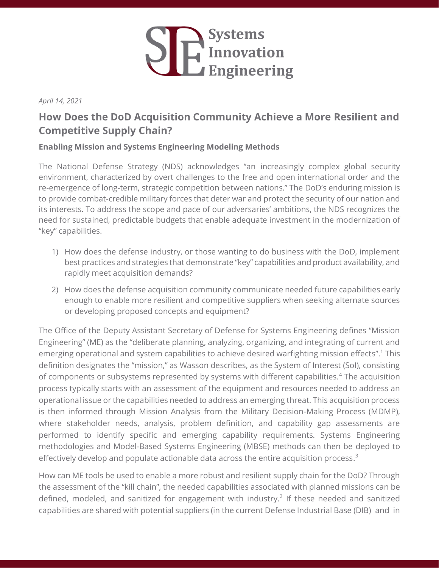

### *April 14, 2021*

# **How Does the DoD Acquisition Community Achieve a More Resilient and Competitive Supply Chain?**

## **Enabling Mission and Systems Engineering Modeling Methods**

The National Defense Strategy (NDS) acknowledges "an increasingly complex global security environment, characterized by overt challenges to the free and open international order and the re-emergence of long-term, strategic competition between nations." The DoD's enduring mission is to provide combat-credible military forces that deter war and protect the security of our nation and its interests. To address the scope and pace of our adversaries' ambitions, the NDS recognizes the need for sustained, predictable budgets that enable adequate investment in the modernization of "key" capabilities.

- 1) How does the defense industry, or those wanting to do business with the DoD, implement best practices and strategies that demonstrate "key" capabilities and product availability, and rapidly meet acquisition demands?
- 2) How does the defense acquisition community communicate needed future capabilities early enough to enable more resilient and competitive suppliers when seeking alternate sources or developing proposed concepts and equipment?

The Office of the Deputy Assistant Secretary of Defense for Systems Engineering defines "Mission Engineering" (ME) as the "deliberate planning, analyzing, organizing, and integrating of current and emerging operational and system capabilities to achieve desired warfighting mission effects".<sup>1</sup> This definition designates the "mission," as Wasson describes, as the System of Interest (SoI), consisting of components or subsystems represented by systems with different capabilities.<sup>4</sup> The acquisition process typically starts with an assessment of the equipment and resources needed to address an operational issue or the capabilities needed to address an emerging threat. This acquisition process is then informed through Mission Analysis from the Military Decision-Making Process (MDMP), where stakeholder needs, analysis, problem definition, and capability gap assessments are performed to identify specific and emerging capability requirements. Systems Engineering methodologies and Model-Based Systems Engineering (MBSE) methods can then be deployed to effectively develop and populate actionable data across the entire acquisition process.<sup>3</sup>

How can ME tools be used to enable a more robust and resilient supply chain for the DoD? Through the assessment of the "kill chain", the needed capabilities associated with planned missions can be defined, modeled, and sanitized for engagement with industry.<sup>2</sup> If these needed and sanitized capabilities are shared with potential suppliers (in the current Defense Industrial Base (DIB) and in